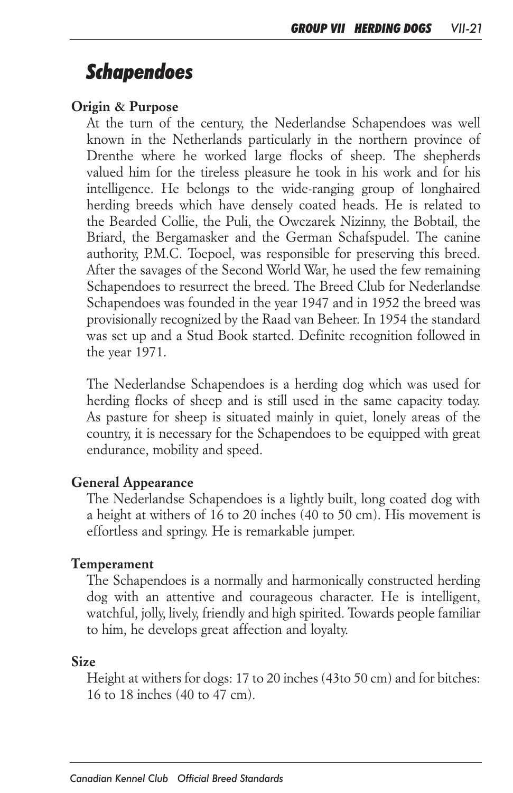# *Schapendoes*

#### *Origin & Purpose*

At the turn of the century, the Nederlandse Schapendoes was well *known in the Netherlands particularly in the northern province of Drenthe where he worked large flocks of sheep. The shepherds valued him for the tireless pleasure he took in his work and for his intelligence. He belongs to the wide-ranging group of longhaired herding breeds which have densely coated heads. He is related to the Bearded Collie, the Puli, the Owczarek Nizinny, the Bobtail, the*  Briard, the Bergamasker and the German Schafspudel. The canine *authority, P.M.C. Toepoel, was responsible for preserving this breed. After the savages of the Second World War, he used the few remaining Schapendoes to resurrect the breed. The Breed Club for Nederlandse Schapendoes was founded in the year 1947 and in 1952 the breed was provisionally recognized by the Raad van Beheer. In 1954 the standard*  was set up and a Stud Book started. Definite recognition followed in *the year 1971.*

*The Nederlandse Schapendoes is a herding dog which was used for herding flocks of sheep and is still used in the same capacity today. As pasture for sheep is situated mainly in quiet, lonely areas of the country, it is necessary for the Schapendoes to be equipped with great endurance, mobility and speed.*

#### *General Appearance*

*The Nederlandse Schapendoes is a lightly built, long coated dog with a height at withers of 16 to 20 inches (40 to 50 cm). His movement is effortless and springy. He is remarkable jumper.*

#### *Temperament*

*The Schapendoes is a normally and harmonically constructed herding dog with an attentive and courageous character. He is intelligent,*  watchful, jolly, lively, friendly and high spirited. Towards people familiar *to him, he develops great affection and loyalty.*

#### *Size*

*Height at withers for dogs: 17 to 20 inches (43to 50 cm) and for bitches: 16 to 18 inches (40 to 47 cm).*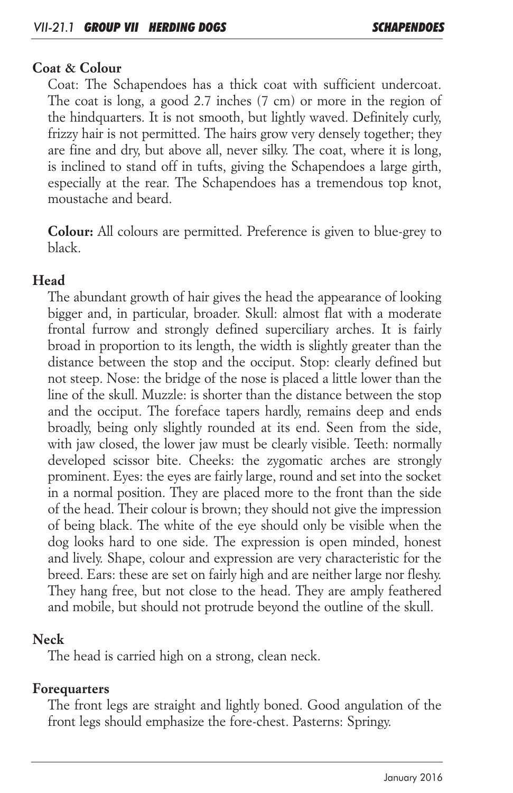#### *Coat & Colour*

*Coat: The Schapendoes has a thick coat with sufficient undercoat.*  The coat is long, a good 2.7 inches (7 cm) or more in the region of *the hindquarters. It is not smooth, but lightly waved. Definitely curly, frizzy hair is not permitted. The hairs grow very densely together; they are fine and dry, but above all, never silky. The coat, where it is long, is inclined to stand off in tufts, giving the Schapendoes a large girth, especially at the rear. The Schapendoes has a tremendous top knot, moustache and beard.*

*Colour: All colours are permitted. Preference is given to blue-grey to black.*

# *Head*

*The abundant growth of hair gives the head the appearance of looking*  bigger and, in particular, broader. Skull: almost flat with a moderate *frontal furrow and strongly defined superciliary arches. It is fairly broad in proportion to its length, the width is slightly greater than the distance between the stop and the occiput. Stop: clearly defined but not steep. Nose: the bridge of the nose is placed a little lower than the line of the skull. Muzzle: is shorter than the distance between the stop and the occiput. The foreface tapers hardly, remains deep and ends broadly, being only slightly rounded at its end. Seen from the side,*  with jaw closed, the lower jaw must be clearly visible. Teeth: normally *developed scissor bite. Cheeks: the zygomatic arches are strongly*  prominent. Eyes: the eyes are fairly large, round and set into the socket *in a normal position. They are placed more to the front than the side of the head. Their colour is brown; they should not give the impression of being black. The white of the eye should only be visible when the*  dog looks hard to one side. The expression is open minded, honest and lively. Shape, colour and expression are very characteristic for the *breed. Ears: these are set on fairly high and are neither large nor fleshy. They hang free, but not close to the head. They are amply feathered and mobile, but should not protrude beyond the outline of the skull.*

## *Neck*

*The head is carried high on a strong, clean neck.*

## *Forequarters*

*The front legs are straight and lightly boned. Good angulation of the front legs should emphasize the fore-chest. Pasterns: Springy.*